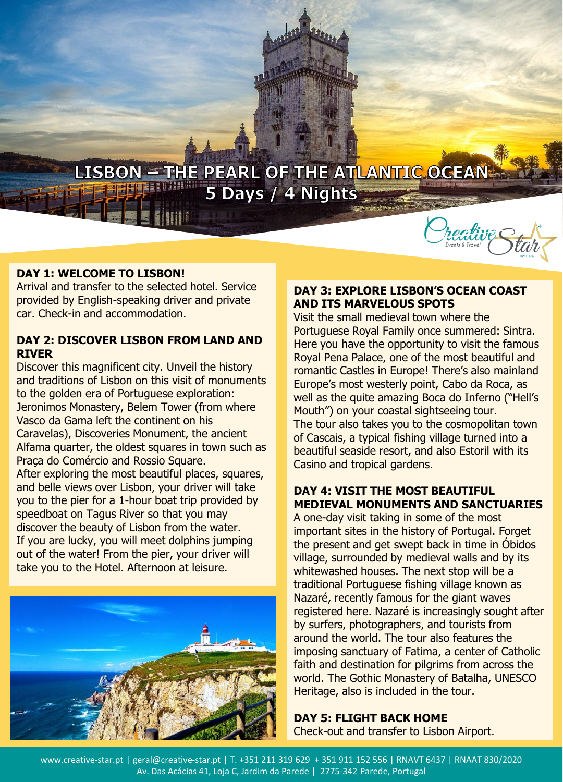

#### **DAY 1: WELCOME TO LISBON!**

Arrival and transfer to the selected hotel. Service provided by English-speaking driver and private car. Check-in and accommodation.

## **DAY 2: DISCOVER LISBON FROM LAND AND RIVER**

Discover this magnificent city. Unveil the history and traditions of Lisbon on this visit of monuments to the golden era of Portuguese exploration: Jeronimos Monastery, Belem Tower (from where Vasco da Gama left the continent on his Caravelas), Discoveries Monument, the ancient Alfama quarter, the oldest squares in town such as Praça do Comércio and Rossio Square. After exploring the most beautiful places, squares, and belle views over Lisbon, your driver will take you to the pier for a 1-hour boat trip provided by speedboat on Tagus River so that you may discover the beauty of Lisbon from the water. If you are lucky, you will meet dolphins jumping out of the water! From the pier, your driver will take you to the Hotel. Afternoon at leisure.



## **DAY 3: EXPLORE LISBON'S OCEAN COAST AND ITS MARVELOUS SPOTS**

Visit the small medieval town where the Portuguese Royal Family once summered: Sintra. Here you have the opportunity to visit the famous Royal Pena Palace, one of the most beautiful and romantic Castles in Europe! There's also mainland Europe's most westerly point, Cabo da Roca, as well as the quite amazing Boca do Inferno ("Hell's Mouth") on your coastal sightseeing tour. The tour also takes you to the cosmopolitan town of Cascais, a typical fishing village turned into a beautiful seaside resort, and also Estoril with its Casino and tropical gardens.

# **DAY 4: VISIT THE MOST BEAUTIFUL MEDIEVAL MONUMENTS AND SANCTUARIES**

A one-day visit taking in some of the most important sites in the history of Portugal. Forget the present and get swept back in time in Óbidos village, surrounded by medieval walls and by its whitewashed houses. The next stop will be a traditional Portuguese fishing village known as Nazaré, recently famous for the giant waves registered here. Nazaré is increasingly sought after by surfers, photographers, and tourists from around the world. The tour also features the imposing sanctuary of Fatima, a center of Catholic faith and destination for pilgrims from across the world. The Gothic Monastery of Batalha, UNESCO Heritage, also is included in the tour.

### **DAY 5: FLIGHT BACK HOME**  Check-out and transfer to Lisbon Airport.

www.creative-star.pt | geral@creative-star.pt | T. +351 211 319 629 + 351 911 152 556 | RNAVT 6437 | RNAAT 830/2020 Av. Das Acácias 41, Loja C, Jardim da Parede | 2775-342 Parede, Portugal